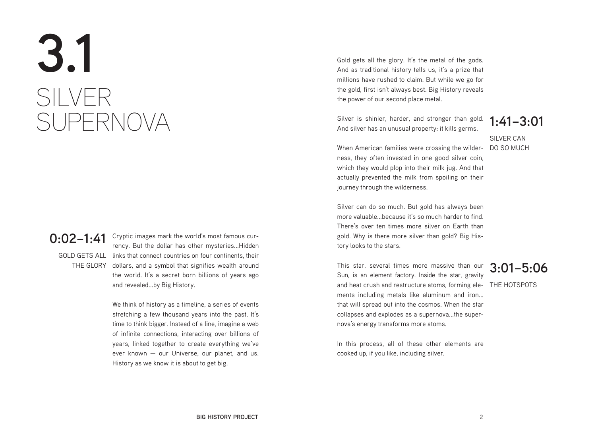# **3.1** SILVER SUPERNOVA

#### **0:02–1:41**

GOLD GETS ALL links that connect countries on four continents, their THE GLORY dollars, and a symbol that signifies wealth around Cryptic images mark the world's most famous currency. But the dollar has other mysteries...Hidden the world. It's a secret born billions of years ago and revealed...by Big History.

> We think of history as a timeline, a series of events stretching a few thousand years into the past. It's time to think bigger. Instead of a line, imagine a web of infinite connections, interacting over billions of years, linked together to create everything we've ever known — our Universe, our planet, and us. History as we know it is about to get big.

Gold gets all the glory. It's the metal of the gods. And as traditional history tells us, it's a prize that millions have rushed to claim. But while we go for the gold, first isn't always best. Big History reveals the power of our second place metal.

Silver is shinier, harder, and stronger than gold. **1:41–3:01** And silver has an unusual property: it kills germs.

SILVER CAN

When American families were crossing the wilder- DO SO MUCH ness, they often invested in one good silver coin, which they would plop into their milk jug. And that actually prevented the milk from spoiling on their journey through the wilderness.

Silver can do so much. But gold has always been more valuable...because it's so much harder to find. There's over ten times more silver on Earth than gold. Why is there more silver than gold? Big History looks to the stars.

and heat crush and restructure atoms, forming ele- THE HOTSPOTS This star, several times more massive than our Sun, is an element factory. Inside the star, gravity ments including metals like aluminum and iron... that will spread out into the cosmos. When the star collapses and explodes as a supernova...the supernova's energy transforms more atoms.

### **3:01–5:06**

In this process, all of these other elements are cooked up, if you like, including silver.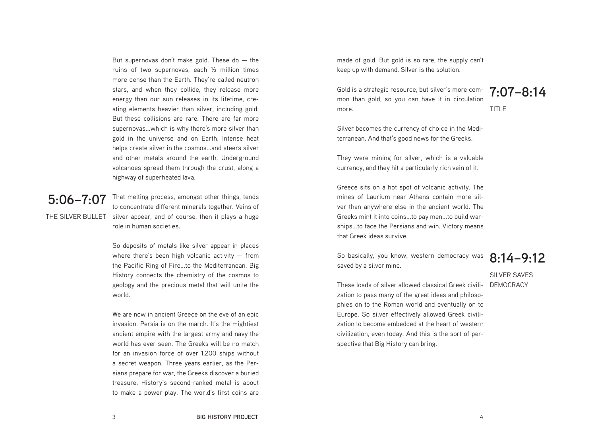But supernovas don't make gold. These do  $-$  the ruins of two supernovas, each ½ million times more dense than the Earth. They're called neutron stars, and when they collide, they release more energy than our sun releases in its lifetime, creating elements heavier than silver, including gold. But these collisions are rare. There are far more supernovas...which is why there's more silver than gold in the universe and on Earth. Intense heat helps create silver in the cosmos...and steers silver and other metals around the earth. Underground volcanoes spread them through the crust, along a highway of superheated lava.

## **5:06–7:07**

THE SILVER BULLET silver appear, and of course, then it plays a huge That melting process, amongst other things, tends to concentrate different minerals together. Veins of role in human societies.

> So deposits of metals like silver appear in places where there's been high volcanic activity  $-$  from the Pacific Ring of Fire...to the Mediterranean. Big History connects the chemistry of the cosmos to geology and the precious metal that will unite the world.

> We are now in ancient Greece on the eve of an epic invasion. Persia is on the march. It's the mightiest ancient empire with the largest army and navy the world has ever seen. The Greeks will be no match for an invasion force of over 1,200 ships without a secret weapon. Three years earlier, as the Persians prepare for war, the Greeks discover a buried treasure. History's second-ranked metal is about to make a power play. The world's first coins are

made of gold. But gold is so rare, the supply can't keep up with demand. Silver is the solution.

Gold is a strategic resource, but silver's more com-<br>mon than gold, so you can have it in circulation 7:07-8:14 mon than gold, so you can have it in circulation more.

TITLE

Silver becomes the currency of choice in the Mediterranean. And that's good news for the Greeks.

They were mining for silver, which is a valuable currency, and they hit a particularly rich vein of it.

Greece sits on a hot spot of volcanic activity. The mines of Laurium near Athens contain more silver than anywhere else in the ancient world. The Greeks mint it into coins...to pay men...to build warships...to face the Persians and win. Victory means that Greek ideas survive.

So basically, you know, western democracy was saved by a silver mine.

### **8:14–9:12**

SILVER SAVES

These loads of silver allowed classical Greek civili- DEMOCRACY zation to pass many of the great ideas and philosophies on to the Roman world and eventually on to Europe. So silver effectively allowed Greek civilization to become embedded at the heart of western civilization, even today. And this is the sort of perspective that Big History can bring.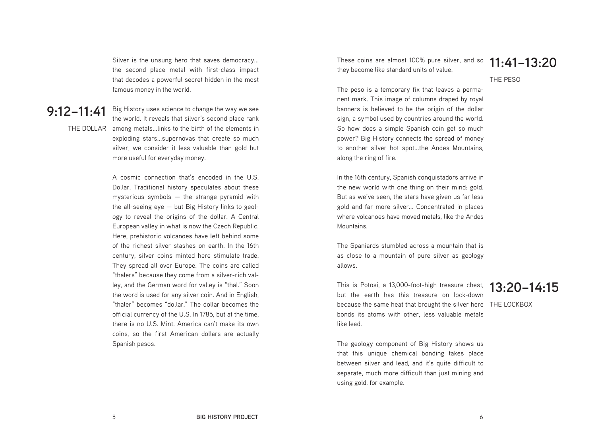Silver is the unsung hero that saves democracy... the second place metal with first-class impact that decodes a powerful secret hidden in the most famous money in the world.

#### **9:12–11:41**

THE DOLLAR among metals...links to the birth of the elements in the world. It reveals that silver's second place rank exploding stars...supernovas that create so much silver, we consider it less valuable than gold but more useful for everyday money.

Big History uses science to change the way we see

A cosmic connection that's encoded in the U.S. Dollar. Traditional history speculates about these mysterious symbols — the strange pyramid with the all-seeing eye — but Big History links to geology to reveal the origins of the dollar. A Central European valley in what is now the Czech Republic. Here, prehistoric volcanoes have left behind some of the richest silver stashes on earth. In the 16th century, silver coins minted here stimulate trade. They spread all over Europe. The coins are called "thalers" because they come from a silver-rich valley, and the German word for valley is "thal." Soon the word is used for any silver coin. And in English, "thaler" becomes "dollar." The dollar becomes the official currency of the U.S. In 1785, but at the time, there is no U.S. Mint. America can't make its own coins, so the first American dollars are actually Spanish pesos.

These coins are almost 100% pure silver, and so they become like standard units of value.

**11:41–13:20**

THE PESO

The peso is a temporary fix that leaves a permanent mark. This image of columns draped by royal banners is believed to be the origin of the dollar sign, a symbol used by countries around the world. So how does a simple Spanish coin get so much power? Big History connects the spread of money to another silver hot spot...the Andes Mountains, along the ring of fire.

In the 16th century, Spanish conquistadors arrive in the new world with one thing on their mind: gold. But as we've seen, the stars have given us far less gold and far more silver... Concentrated in places where volcanoes have moved metals, like the Andes Mountains.

The Spaniards stumbled across a mountain that is as close to a mountain of pure silver as geology allows.

This is Potosi, a 13,000-foot-high treasure chest, **13:20–14:15** because the same heat that brought the silver here THE LOCKBOX but the earth has this treasure on lock-down bonds its atoms with other, less valuable metals like lead.

The geology component of Big History shows us that this unique chemical bonding takes place between silver and lead, and it's quite difficult to separate, much more difficult than just mining and using gold, for example.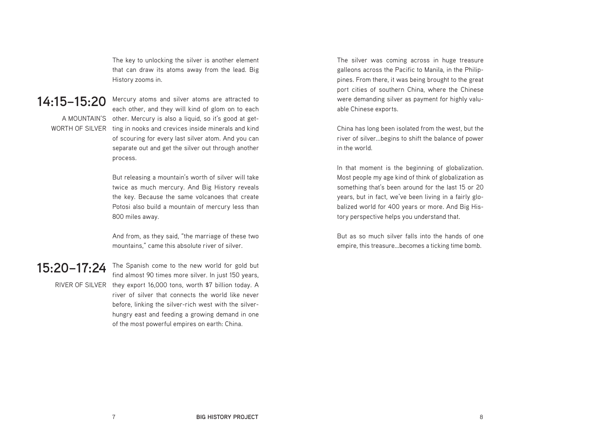The key to unlocking the silver is another element that can draw its atoms away from the lead. Big History zooms in.

#### **14:15–15:20**

Mercury atoms and silver atoms are attracted to each other, and they will kind of glom on to each A MOUNTAIN'S other. Mercury is also a liquid, so it's good at get-WORTH OF SILVER  $\;$  ting in nooks and crevices inside minerals and kind of scouring for every last silver atom. And you can separate out and get the silver out through another process.

> But releasing a mountain's worth of silver will take twice as much mercury. And Big History reveals the key. Because the same volcanoes that create Potosi also build a mountain of mercury less than 800 miles away.

And from, as they said, "the marriage of these two mountains," came this absolute river of silver.

#### **15:20–17:24**

The Spanish come to the new world for gold but find almost 90 times more silver. In just 150 years, RIVER OF SILVER they export 16,000 tons, worth \$7 billion today. A river of silver that connects the world like never before, linking the silver-rich west with the silverhungry east and feeding a growing demand in one of the most powerful empires on earth: China.

The silver was coming across in huge treasure galleons across the Pacific to Manila, in the Philippines. From there, it was being brought to the great port cities of southern China, where the Chinese were demanding silver as payment for highly valuable Chinese exports.

China has long been isolated from the west, but the river of silver...begins to shift the balance of power in the world.

In that moment is the beginning of globalization. Most people my age kind of think of globalization as something that's been around for the last 15 or 20 years, but in fact, we've been living in a fairly globalized world for 400 years or more. And Big History perspective helps you understand that.

But as so much silver falls into the hands of one empire, this treasure...becomes a ticking time bomb.